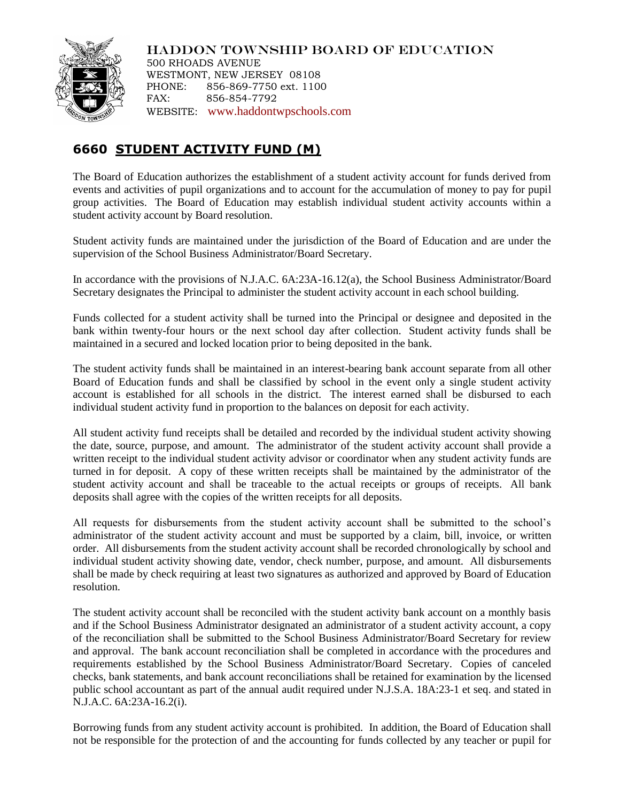

HADDON TOWNSHIP BOARD OF EDUCATION 500 RHOADS AVENUE WESTMONT, NEW JERSEY 08108 PHONE: 856-869-7750 ext. 1100 FAX: 856-854-7792 WEBSITE: [www.haddontwpschools.com](http://www.haddontwpschools.com/)

## **6660 STUDENT ACTIVITY FUND (M)**

The Board of Education authorizes the establishment of a student activity account for funds derived from events and activities of pupil organizations and to account for the accumulation of money to pay for pupil group activities. The Board of Education may establish individual student activity accounts within a student activity account by Board resolution.

Student activity funds are maintained under the jurisdiction of the Board of Education and are under the supervision of the School Business Administrator/Board Secretary.

In accordance with the provisions of N.J.A.C. 6A:23A-16.12(a), the School Business Administrator/Board Secretary designates the Principal to administer the student activity account in each school building.

Funds collected for a student activity shall be turned into the Principal or designee and deposited in the bank within twenty-four hours or the next school day after collection. Student activity funds shall be maintained in a secured and locked location prior to being deposited in the bank.

The student activity funds shall be maintained in an interest-bearing bank account separate from all other Board of Education funds and shall be classified by school in the event only a single student activity account is established for all schools in the district. The interest earned shall be disbursed to each individual student activity fund in proportion to the balances on deposit for each activity.

All student activity fund receipts shall be detailed and recorded by the individual student activity showing the date, source, purpose, and amount. The administrator of the student activity account shall provide a written receipt to the individual student activity advisor or coordinator when any student activity funds are turned in for deposit. A copy of these written receipts shall be maintained by the administrator of the student activity account and shall be traceable to the actual receipts or groups of receipts. All bank deposits shall agree with the copies of the written receipts for all deposits.

All requests for disbursements from the student activity account shall be submitted to the school's administrator of the student activity account and must be supported by a claim, bill, invoice, or written order. All disbursements from the student activity account shall be recorded chronologically by school and individual student activity showing date, vendor, check number, purpose, and amount. All disbursements shall be made by check requiring at least two signatures as authorized and approved by Board of Education resolution.

The student activity account shall be reconciled with the student activity bank account on a monthly basis and if the School Business Administrator designated an administrator of a student activity account, a copy of the reconciliation shall be submitted to the School Business Administrator/Board Secretary for review and approval. The bank account reconciliation shall be completed in accordance with the procedures and requirements established by the School Business Administrator/Board Secretary. Copies of canceled checks, bank statements, and bank account reconciliations shall be retained for examination by the licensed public school accountant as part of the annual audit required under N.J.S.A. 18A:23-1 et seq. and stated in N.J.A.C. 6A:23A-16.2(i).

Borrowing funds from any student activity account is prohibited. In addition, the Board of Education shall not be responsible for the protection of and the accounting for funds collected by any teacher or pupil for